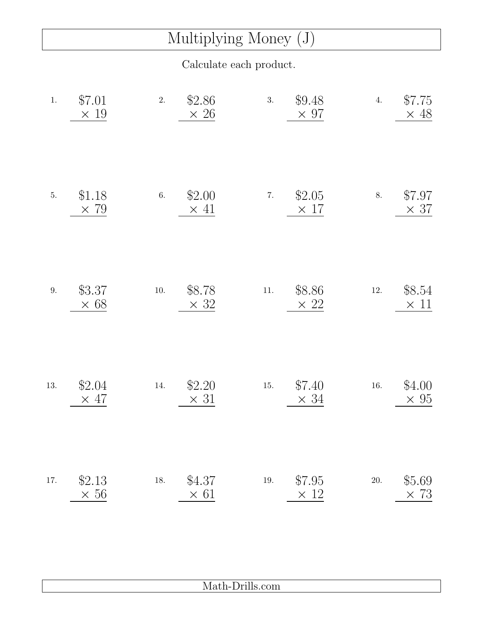## Multiplying Money (J)

Calculate each product.

| $1.$    | \$7.01<br>$\times$ 19 | 2.       | \$2.86<br>$\times$ 26 | 3.       | \$9.48<br>$\times$ 97 | 4.       | \$7.75<br>$\times$ 48 |
|---------|-----------------------|----------|-----------------------|----------|-----------------------|----------|-----------------------|
| $5. \,$ | \$1.18<br>$\times$ 79 | $6. \,$  | \$2.00<br>$\times$ 41 | $7. \,$  | \$2.05<br>$\times$ 17 | 8.       | \$7.97<br>$\times$ 37 |
| $9. \,$ | \$3.37<br>$\times$ 68 | $10. \,$ | \$8.78<br>$\times$ 32 | $11. \,$ | \$8.86<br>$\times 22$ | $12. \,$ | \$8.54<br>$\times$ 11 |
| 13.     | \$2.04<br>$\times$ 47 | 14.      | \$2.20<br>$\times$ 31 | $15. \,$ | \$7.40<br>$\times$ 34 | $16. \,$ | \$4.00<br>$\times 95$ |
| 17.     | \$2.13<br>$\times 56$ | $18. \,$ | \$4.37<br>$\times$ 61 | $19. \,$ | \$7.95<br>$\times$ 12 | $20. \,$ | \$5.69<br>$\times 73$ |